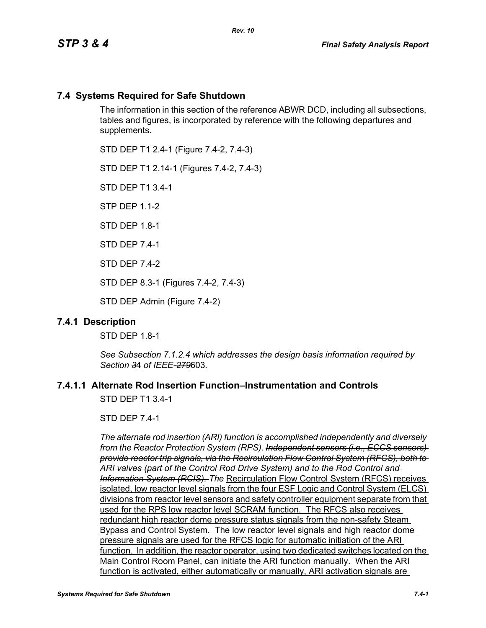# **7.4 Systems Required for Safe Shutdown**

The information in this section of the reference ABWR DCD, including all subsections, tables and figures, is incorporated by reference with the following departures and supplements.

STD DEP T1 2.4-1 (Figure 7.4-2, 7.4-3)

STD DEP T1 2.14-1 (Figures 7.4-2, 7.4-3)

STD DEP T1 3.4-1

STP DEP 1.1-2

STD DFP 18-1

STD DEP 7.4-1

STD DEP 7.4-2

STD DEP 8.3-1 (Figures 7.4-2, 7.4-3)

STD DEP Admin (Figure 7.4-2)

#### **7.4.1 Description**

STD DEP 1.8-1

*See Subsection 7.1.2.4 which addresses the design basis information required by Section 3*4 *of IEEE-279*603*.*

## **7.4.1.1 Alternate Rod Insertion Function–Instrumentation and Controls**

STD DEP T1 3.4-1

STD DEP 7.4-1

*The alternate rod insertion (ARI) function is accomplished independently and diversely from the Reactor Protection System (RPS). Independent sensors (i.e., ECCS sensors) provide reactor trip signals, via the Recirculation Flow Control System (RFCS), both to ARI valves (part of the Control Rod Drive System) and to the Rod Control and Information System (RCIS). The* Recirculation Flow Control System (RFCS) receives isolated, low reactor level signals from the four ESF Logic and Control System (ELCS) divisions from reactor level sensors and safety controller equipment separate from that used for the RPS low reactor level SCRAM function. The RFCS also receives redundant high reactor dome pressure status signals from the non-safety Steam Bypass and Control System. The low reactor level signals and high reactor dome pressure signals are used for the RFCS logic for automatic initiation of the ARI function. In addition, the reactor operator, using two dedicated switches located on the Main Control Room Panel, can initiate the ARI function manually. When the ARI function is activated, either automatically or manually, ARI activation signals are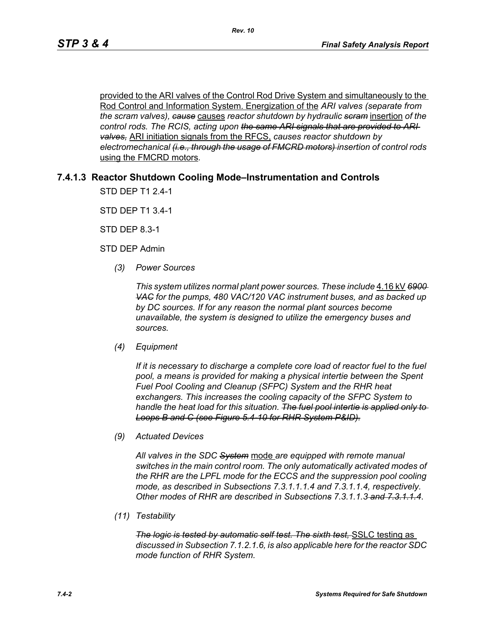provided to the ARI valves of the Control Rod Drive System and simultaneously to the Rod Control and Information System. Energization of the *ARI valves (separate from the scram valves), cause* causes *reactor shutdown by hydraulic scram* insertion *of the control rods. The RCIS, acting upon the same ARI signals that are provided to ARI valves,* ARI initiation signals from the RFCS, *causes reactor shutdown by electromechanical (i.e., through the usage of FMCRD motors) insertion of control rods*  using the FMCRD motors*.*

## **7.4.1.3 Reactor Shutdown Cooling Mode–Instrumentation and Controls**

STD DEP T1 2.4-1

STD DEP T1 3.4-1

STD DEP 8.3-1

STD DEP Admin

*(3) Power Sources*

*This system utilizes normal plant power sources. These include* 4.16 kV *6900 VAC for the pumps, 480 VAC/120 VAC instrument buses, and as backed up by DC sources. If for any reason the normal plant sources become unavailable, the system is designed to utilize the emergency buses and sources.*

*(4) Equipment*

*If it is necessary to discharge a complete core load of reactor fuel to the fuel pool, a means is provided for making a physical intertie between the Spent Fuel Pool Cooling and Cleanup (SFPC) System and the RHR heat exchangers. This increases the cooling capacity of the SFPC System to handle the heat load for this situation. The fuel pool intertie is applied only to Loops B and C (see Figure 5.4-10 for RHR System P&ID).*

*(9) Actuated Devices*

*All valves in the SDC System* mode *are equipped with remote manual switches in the main control room. The only automatically activated modes of the RHR are the LPFL mode for the ECCS and the suppression pool cooling mode, as described in Subsections 7.3.1.1.1.4 and 7.3.1.1.4, respectively. Other modes of RHR are described in Subsections 7.3.1.1.3 and 7.3.1.1.4*.

*(11) Testability*

*The logic is tested by automatic self test. The sixth test,* SSLC testing as *discussed in Subsection 7.1.2.1.6, is also applicable here for the reactor SDC mode function of RHR System.*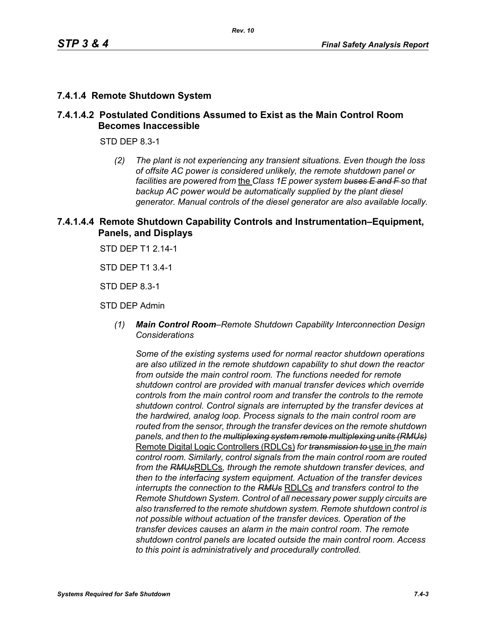## **7.4.1.4 Remote Shutdown System**

## **7.4.1.4.2 Postulated Conditions Assumed to Exist as the Main Control Room Becomes Inaccessible**

STD DEP 8.3-1

*(2) The plant is not experiencing any transient situations. Even though the loss of offsite AC power is considered unlikely, the remote shutdown panel or facilities are powered from* the *Class 1E power system buses E and F so that backup AC power would be automatically supplied by the plant diesel generator. Manual controls of the diesel generator are also available locally.*

## **7.4.1.4.4 Remote Shutdown Capability Controls and Instrumentation–Equipment, Panels, and Displays**

STD DEP T1 2.14-1

STD DEP T1 3.4-1

STD DEP 8.3-1

STD DEP Admin

*(1) Main Control Room–Remote Shutdown Capability Interconnection Design Considerations*

*Some of the existing systems used for normal reactor shutdown operations are also utilized in the remote shutdown capability to shut down the reactor from outside the main control room. The functions needed for remote shutdown control are provided with manual transfer devices which override controls from the main control room and transfer the controls to the remote shutdown control. Control signals are interrupted by the transfer devices at the hardwired, analog loop. Process signals to the main control room are routed from the sensor, through the transfer devices on the remote shutdown panels, and then to the multiplexing system remote multiplexing units (RMUs)* Remote Digital Logic Controllers (RDLCs) *for transmission to* use in *the main control room. Similarly, control signals from the main control room are routed from the RMUs*RDLCs*, through the remote shutdown transfer devices, and then to the interfacing system equipment. Actuation of the transfer devices interrupts the connection to the RMUs* RDLCs *and transfers control to the Remote Shutdown System. Control of all necessary power supply circuits are also transferred to the remote shutdown system. Remote shutdown control is not possible without actuation of the transfer devices. Operation of the transfer devices causes an alarm in the main control room. The remote shutdown control panels are located outside the main control room. Access to this point is administratively and procedurally controlled.*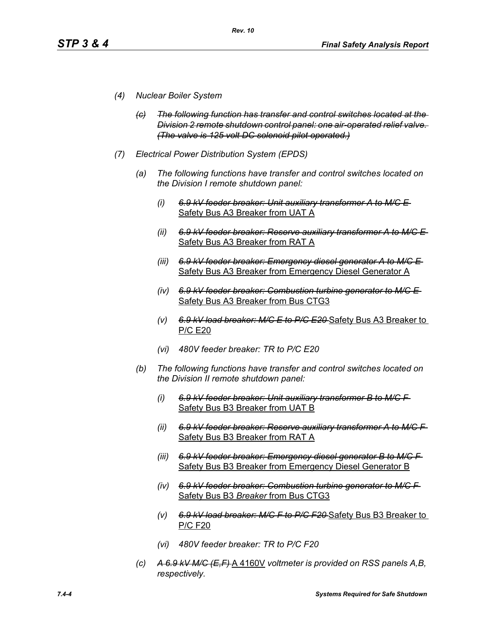- *(4) Nuclear Boiler System*
	- *(c) The following function has transfer and control switches located at the Division 2 remote shutdown control panel: one air-operated relief valve. (The valve is 125 volt DC solenoid pilot operated.)*
- *(7) Electrical Power Distribution System (EPDS)*
	- *(a) The following functions have transfer and control switches located on the Division I remote shutdown panel:*
		- *(i) 6.9 kV feeder breaker: Unit auxiliary transformer A to M/C E*  Safety Bus A3 Breaker from UAT A
		- *(ii) 6.9 kV feeder breaker: Reserve auxiliary transformer A to M/C E*  Safety Bus A3 Breaker from RAT A
		- *(iii) 6.9 kV feeder breaker: Emergency diesel generator A to M/C E*  Safety Bus A3 Breaker from Emergency Diesel Generator A
		- *(iv) 6.9 kV feeder breaker: Combustion turbine generator to M/C E*  Safety Bus A3 Breaker from Bus CTG3
		- *(v) 6.9 kV load breaker: M/C E to P/C E20* Safety Bus A3 Breaker to P/C E20
		- *(vi) 480V feeder breaker: TR to P/C E20*
	- *(b) The following functions have transfer and control switches located on the Division II remote shutdown panel:*
		- *(i) 6.9 kV feeder breaker: Unit auxiliary transformer B to M/C F*  Safety Bus B3 Breaker from UAT B
		- *(ii) 6.9 kV feeder breaker: Reserve auxiliary transformer A to M/C F*  Safety Bus B3 Breaker from RAT A
		- *(iii) 6.9 kV feeder breaker: Emergency diesel generator B to M/C F*  Safety Bus B3 Breaker from Emergency Diesel Generator B
		- *(iv) 6.9 kV feeder breaker: Combustion turbine generator to M/C F*  Safety Bus B3 *Breaker* from Bus CTG3
		- *(v) 6.9 kV load breaker: M/C F to P/C F20* Safety Bus B3 Breaker to P/C F20
		- *(vi) 480V feeder breaker: TR to P/C F20*
	- *(c) A 6.9 kV M/C (E,F)* A 4160V *voltmeter is provided on RSS panels A,B, respectively.*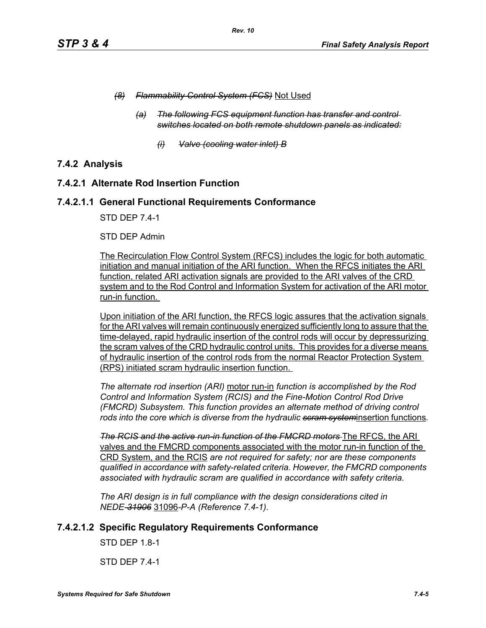- *(8) Flammability Control System (FCS)* Not Used
	- *(a) The following FCS equipment function has transfer and control switches located on both remote shutdown panels as indicated:*
		- *(i) Valve (cooling water inlet) B*

# **7.4.2 Analysis**

## **7.4.2.1 Alternate Rod Insertion Function**

#### **7.4.2.1.1 General Functional Requirements Conformance**

STD DEP 7.4-1

#### STD DEP Admin

The Recirculation Flow Control System (RFCS) includes the logic for both automatic initiation and manual initiation of the ARI function. When the RFCS initiates the ARI function, related ARI activation signals are provided to the ARI valves of the CRD system and to the Rod Control and Information System for activation of the ARI motor run-in function.

Upon initiation of the ARI function, the RFCS logic assures that the activation signals for the ARI valves will remain continuously energized sufficiently long to assure that the time-delayed, rapid hydraulic insertion of the control rods will occur by depressurizing the scram valves of the CRD hydraulic control units. This provides for a diverse means of hydraulic insertion of the control rods from the normal Reactor Protection System (RPS) initiated scram hydraulic insertion function.

*The alternate rod insertion (ARI)* motor run-in *function is accomplished by the Rod Control and Information System (RCIS) and the Fine-Motion Control Rod Drive (FMCRD) Subsystem. This function provides an alternate method of driving control rods into the core which is diverse from the hydraulic scram system*insertion functions*.*

**The RCIS and the active run-in function of the FMCRD motors** The RFCS, the ARI valves and the FMCRD components associated with the motor run-in function of the CRD System, and the RCIS *are not required for safety; nor are these components qualified in accordance with safety-related criteria. However, the FMCRD components associated with hydraulic scram are qualified in accordance with safety criteria.*

*The ARI design is in full compliance with the design considerations cited in NEDE-31906* 31096*-P-A (Reference 7.4-1).* 

# **7.4.2.1.2 Specific Regulatory Requirements Conformance**

STD DEP 1.8-1

STD DEP 7.4-1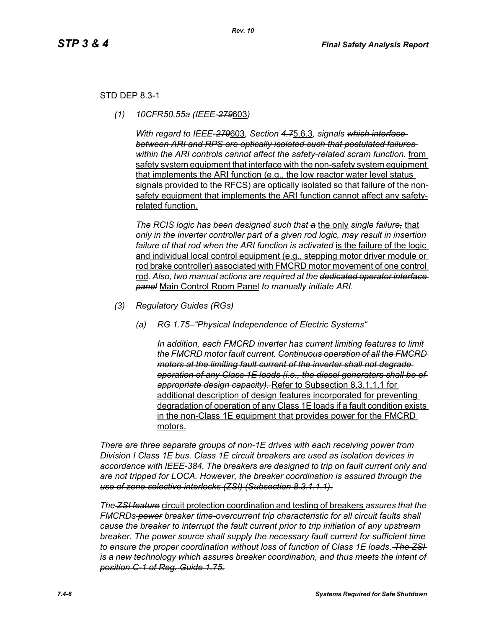## STD DEP 8.3-1

*(1) 10CFR50.55a (IEEE-279*603*)*

*With regard to IEEE-279*603*, Section 4.7*5.6.3*, signals which interface between ARI and RPS are optically isolated such that postulated failures within the ARI controls cannot affect the safety-related scram function.* from safety system equipment that interface with the non-safety system equipment that implements the ARI function (e.g., the low reactor water level status signals provided to the RFCS) are optically isolated so that failure of the nonsafety equipment that implements the ARI function cannot affect any safetyrelated function.

*The RCIS logic has been designed such that a* the only *single failure,* that *only in the inverter controller part of a given rod logic, may result in insertion*  failure of that rod when the ARI function is activated is the failure of the logic and individual local control equipment (e.g., stepping motor driver module or rod brake controller) associated with FMCRD motor movement of one control rod*. Also, two manual actions are required at the dedicated operator interface panel* Main Control Room Panel *to manually initiate ARI.* 

- *(3) Regulatory Guides (RGs)*
	- *(a) RG 1.75–"Physical Independence of Electric Systems"*

*In addition, each FMCRD inverter has current limiting features to limit the FMCRD motor fault current. Continuous operation of all the FMCRD motors at the limiting fault current of the inverter shall not degrade operation of any Class 1E loads (i.e., the diesel generators shall be of appropriate design capacity).* Refer to Subsection 8.3.1.1.1 for additional description of design features incorporated for preventing degradation of operation of any Class 1E loads if a fault condition exists in the non-Class 1E equipment that provides power for the FMCRD motors.

*There are three separate groups of non-1E drives with each receiving power from Division I Class 1E bus. Class 1E circuit breakers are used as isolation devices in accordance with IEEE-384. The breakers are designed to trip on fault current only and are not tripped for LOCA. However, the breaker coordination is assured through the use of zone selective interlocks (ZSI) (Subsection 8.3.1.1.1).*

*The ZSI feature* circuit protection coordination and testing of breakers *assures that the FMCRDs power breaker time-overcurrent trip characteristic for all circuit faults shall cause the breaker to interrupt the fault current prior to trip initiation of any upstream breaker. The power source shall supply the necessary fault current for sufficient time to ensure the proper coordination without loss of function of Class 1E loads. The ZSI is a new technology which assures breaker coordination, and thus meets the intent of position C-1 of Reg. Guide 1.75.*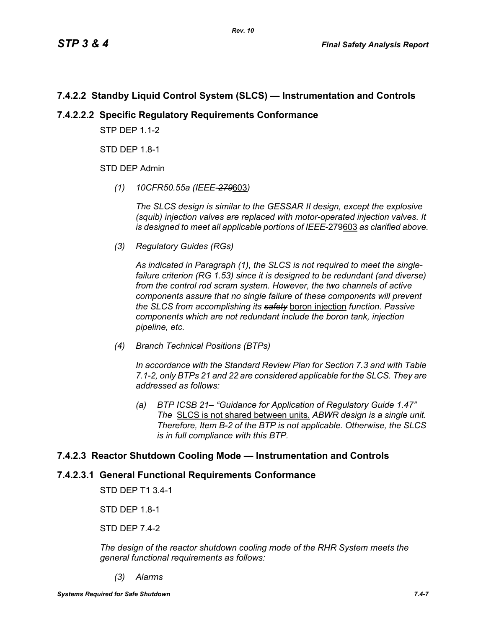# **7.4.2.2 Standby Liquid Control System (SLCS) — Instrumentation and Controls**

# **7.4.2.2.2 Specific Regulatory Requirements Conformance**

**STP DFP 1 1-2** 

STD DEP 1.8-1

STD DEP Admin

*(1) 10CFR50.55a (IEEE-279*603*)*

*The SLCS design is similar to the GESSAR II design, except the explosive (squib) injection valves are replaced with motor-operated injection valves. It is designed to meet all applicable portions of IEEE*-279603 *as clarified above.*

*(3) Regulatory Guides (RGs)*

*As indicated in Paragraph (1), the SLCS is not required to meet the singlefailure criterion (RG 1.53) since it is designed to be redundant (and diverse) from the control rod scram system. However, the two channels of active components assure that no single failure of these components will prevent the SLCS from accomplishing its safety* boron injection *function. Passive components which are not redundant include the boron tank, injection pipeline, etc.*

*(4) Branch Technical Positions (BTPs)*

*In accordance with the Standard Review Plan for Section 7.3 and with Table 7.1-2, only BTPs 21 and 22 are considered applicable for the SLCS. They are addressed as follows:*

*(a) BTP ICSB 21– "Guidance for Application of Regulatory Guide 1.47" The* SLCS is not shared between units. *ABWR design is a single unit. Therefore, Item B-2 of the BTP is not applicable. Otherwise, the SLCS is in full compliance with this BTP.*

# **7.4.2.3 Reactor Shutdown Cooling Mode — Instrumentation and Controls**

# **7.4.2.3.1 General Functional Requirements Conformance**

STD DEP T1 3.4-1

STD DEP 1.8-1

STD DEP 7.4-2

*The design of the reactor shutdown cooling mode of the RHR System meets the general functional requirements as follows:*

*(3) Alarms*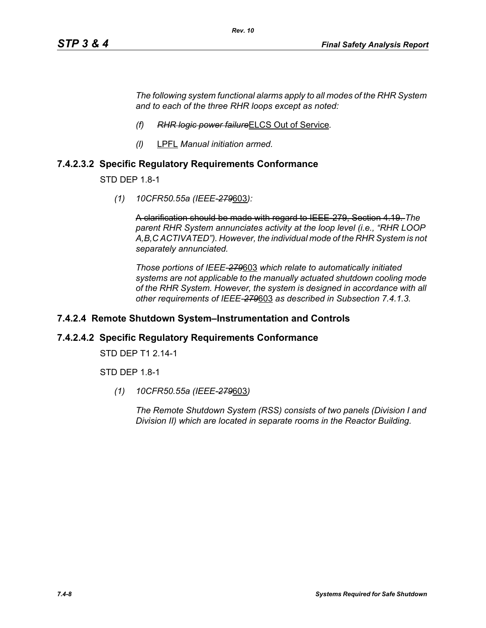*The following system functional alarms apply to all modes of the RHR System and to each of the three RHR loops except as noted:*

- *(f) RHR logic power failure*ELCS Out of Service*.*
- *(l)* LPFL *Manual initiation armed.*

## **7.4.2.3.2 Specific Regulatory Requirements Conformance**

STD DEP 1.8-1

*(1) 10CFR50.55a (IEEE-279*603*):*

A clarification should be made with regard to IEEE-279, Section 4.19. *The parent RHR System annunciates activity at the loop level (i.e., "RHR LOOP A,B,C ACTIVATED"). However, the individual mode of the RHR System is not separately annunciated.*

*Those portions of IEEE-279*603 *which relate to automatically initiated systems are not applicable to the manually actuated shutdown cooling mode of the RHR System. However, the system is designed in accordance with all other requirements of IEEE-279*603 *as described in Subsection 7.4.1.3.*

#### **7.4.2.4 Remote Shutdown System–Instrumentation and Controls**

#### **7.4.2.4.2 Specific Regulatory Requirements Conformance**

STD DEP T1 2.14-1

STD DEP 1.8-1

*(1) 10CFR50.55a (IEEE-279*603*)*

*The Remote Shutdown System (RSS) consists of two panels (Division I and Division II) which are located in separate rooms in the Reactor Building.*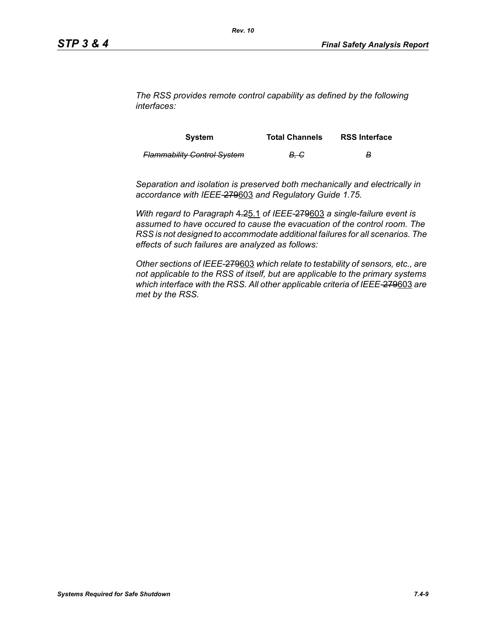*The RSS provides remote control capability as defined by the following interfaces:*

| <b>System</b>                      | <b>Total Channels</b> | <b>RSS Interface</b> |
|------------------------------------|-----------------------|----------------------|
| <b>Flammability Control System</b> | <del>B. C</del>       | в                    |

*Separation and isolation is preserved both mechanically and electrically in accordance with IEEE-*279603 *and Regulatory Guide 1.75.*

*With regard to Paragraph* 4.25.1 *of IEEE-*279603 *a single-failure event is assumed to have occured to cause the evacuation of the control room. The RSS is not designed to accommodate additional failures for all scenarios. The effects of such failures are analyzed as follows:*

*Other sections of IEEE-*279603 *which relate to testability of sensors, etc., are not applicable to the RSS of itself, but are applicable to the primary systems which interface with the RSS. All other applicable criteria of IEEE-*279603 *are met by the RSS.*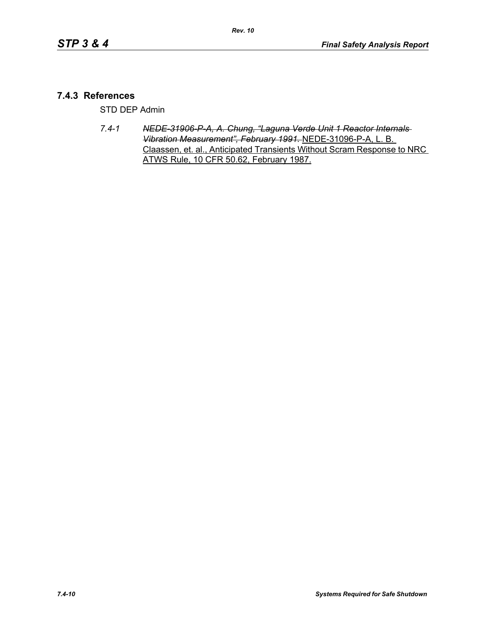## **7.4.3 References**

STD DEP Admin

*7.4-1 NEDE-31906-P-A, A. Chung, "Laguna Verde Unit 1 Reactor Internals Vibration Measurement", February 1991.* NEDE-31096-P-A, L. B. Claassen, et. al., Anticipated Transients Without Scram Response to NRC ATWS Rule, 10 CFR 50.62, February 1987.